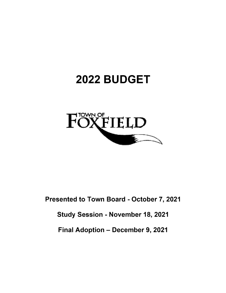# 2022 BUDGET



Presented to Town Board - October 7, 2021

Study Session - November 18, 2021

Final Adoption - December 9, 2021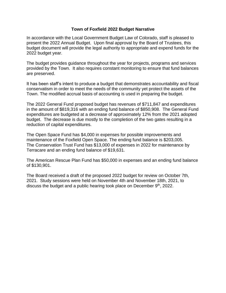# **Town of Foxfield 2022 Budget Narrative**

In accordance with the Local Government Budget Law of Colorado, staff is pleased to present the 2022 Annual Budget. Upon final approval by the Board of Trustees, this budget document will provide the legal authority to appropriate and expend funds for the 2022 budget year.

The budget provides guidance throughout the year for projects, programs and services provided by the Town. It also requires constant monitoring to ensure that fund balances are preserved.

It has been staff's intent to produce a budget that demonstrates accountability and fiscal conservatism in order to meet the needs of the community yet protect the assets of the Town. The modified accrual basis of accounting is used in preparing the budget.

The 2022 General Fund proposed budget has revenues of \$711,847 and expenditures in the amount of \$819,316 with an ending fund balance of \$850,908. The General Fund expenditures are budgeted at a decrease of approximately 12% from the 2021 adopted budget. The decrease is due mostly to the completion of the two gates resulting in a reduction of capital expenditures.

The Open Space Fund has \$4,000 in expenses for possible improvements and maintenance of the Foxfield Open Space. The ending fund balance is \$203,005. The Conservation Trust Fund has \$13,000 of expenses in 2022 for maintenance by Terracare and an ending fund balance of \$19,631.

The American Rescue Plan Fund has \$50,000 in expenses and an ending fund balance of \$130,901.

The Board received a draft of the proposed 2022 budget for review on October 7th, 2021. Study sessions were held on November 4th and November 18th, 2021, to discuss the budget and a public hearing took place on December 9<sup>th</sup>, 2022.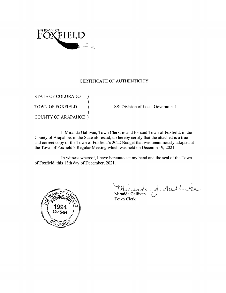

# CERTIFICATE OF AUTHENTICITY

**STATE OF COLORADO** ⟩  $\mathcal{E}$ TOWN OF FOXFIELD  $\lambda$ **COUNTY OF ARAPAHOE** )

SS: Division of Local Government

I, Miranda Gallivan, Town Clerk, in and for said Town of Foxfield, in the County of Arapahoe, in the State aforesaid, do hereby certify that the attached is a true and correct copy of the Town of Foxfield's 2022 Budget that was unanimously adopted at the Town of Foxfield's Regular Meeting which was held on December 9, 2021.

In witness whereof, I have hereunto set my hand and the seal of the Town of Foxfield, this 13th day of December, 2021.



A. Sallwar Miranda Gallivan

**Town Clerk**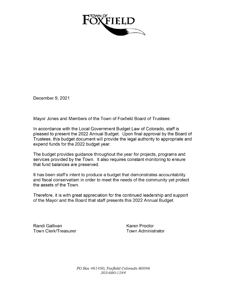

December 9, 2021

Mayor Jones and Members of the Town of Foxfield Board of Trustees:

In accordance with the Local Government Budget Law of Colorado, staff is pleased to present the 2022 Annual Budget. Upon final approval by the Board of Trustees, this budget document will provide the legal authority to appropriate and expend funds for the 2022 budget year.

The budget provides guidance throughout the year for projects, programs and services provided by the Town. It also requires constant monitoring to ensure that fund balances are preserved.

It has been staff's intent to produce a budget that demonstrates accountability and fiscal conservatism in order to meet the needs of the community yet protect the assets of the Town.

Therefore, it is with great appreciation for the continued leadership and support of the Mayor and the Board that staff presents this 2022 Annual Budget.

RandiGallivan KarenProctor Town Clerk/Treasurer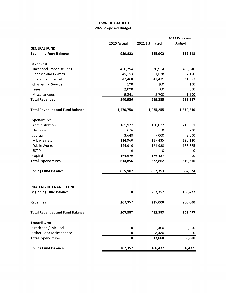## TOWN OF FOXFIELD 2022 Proposed Budget

|                                        |             |                | 2022 Proposed |
|----------------------------------------|-------------|----------------|---------------|
|                                        | 2020 Actual | 2021 Estimated | <b>Budget</b> |
| <b>GENERAL FUND</b>                    |             |                |               |
| <b>Beginning Fund Balance</b>          | 929,822     | 855,902        | 862,393       |
| <b>Revenues:</b>                       |             |                |               |
| <b>Taxes and Franchise Fees</b>        | 436,794     | 520,954        | 430,540       |
| <b>Licenses and Permits</b>            | 45,153      | 51,678         | 37,150        |
| Intergovernmental                      | 47,468      | 47,421         | 41,957        |
| <b>Charges for Services</b>            | 190         | 100            | 100           |
| Fines                                  | 2,090       | 500            | 500           |
| Miscellaneous                          | 9,241       | 8,700          | 1,600         |
| <b>Total Revenues</b>                  | 540,936     | 629,353        | 511,847       |
| <b>Total Revenues and Fund Balance</b> | 1,470,758   | 1,485,255      | 1,374,240     |
| <b>Expenditures:</b>                   |             |                |               |
| Administration                         | 185,977     | 190,032        | 216,801       |
| Elections                              | 676         | 0              | 700           |
| Judicial                               | 3,648       | 7,000          | 8,000         |
| <b>Public Safety</b>                   | 114,960     | 117,435        | 125,140       |
| <b>Public Works</b>                    | 144,916     | 181,938        | 166,675       |
| <b>ESTIP</b>                           | 0           | 0              | 0             |
| Capital                                | 164,679     | 126,457        | 2,000         |
| <b>Total Expenditures</b>              | 614,856     | 622,862        | 519,316       |
| <b>Ending Fund Balance</b>             | 855,902     | 862,393        | 854,924       |
| <b>ROAD MAINTENANCE FUND</b>           |             |                |               |
| <b>Beginning Fund Balance</b>          | 0           | 207,357        | 108,477       |
| Revenues                               | 207,357     | 215,000        | 200,000       |
| <b>Total Revenues and Fund Balance</b> | 207,357     | 422,357        | 308,477       |
| <b>Expenditures:</b>                   |             |                |               |
| Crack Seal/Chip Seal                   | 0           | 305,400        | 300,000       |
| <b>Other Road Maintenance</b>          | 0           | 8,480          | 0             |
| <b>Total Expenditures</b>              | $\pmb{0}$   | 313,880        | 300,000       |
| <b>Ending Fund Balance</b>             | 207,357     | 108,477        | 8,477         |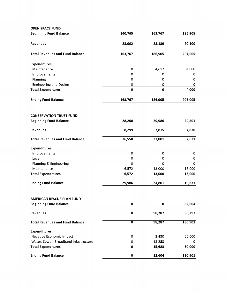| <b>OPEN SPACE FUND</b>                                            |                           |          |         |
|-------------------------------------------------------------------|---------------------------|----------|---------|
| <b>Beginning Fund Balance</b>                                     | 140,765                   | 163,767  | 186,905 |
| Revenues                                                          | 23,002                    | 23,139   | 20,100  |
| <b>Total Revenues and Fund Balance</b>                            | 163,767                   | 186,905  | 207,005 |
| <b>Expenditures:</b>                                              |                           |          |         |
| Maintenance                                                       | 0                         | 4,612    | 4,000   |
| Improvements                                                      | 0                         | 0        | 0       |
| Planning                                                          | 0                         | 0        | 0       |
| <b>Engineering and Design</b>                                     | 0                         | 0        | 0       |
| <b>Total Expenditures</b>                                         | $\bf{0}$                  | $\bf{0}$ | 4,000   |
| <b>Ending Fund Balance</b>                                        | 163,767                   | 186,905  | 203,005 |
| <b>CONSERVATION TRUST FUND</b>                                    |                           |          |         |
| <b>Beginning Fund Balance</b>                                     | 28,260                    | 29,986   | 24,801  |
| <b>Revenues</b>                                                   | 8,299                     | 7,815    | 7,830   |
| <b>Total Revenues and Fund Balance</b>                            | 36,558                    | 37,801   | 32,631  |
| <b>Expenditures:</b>                                              |                           |          |         |
| Improvements                                                      | 0                         | 0        | 0       |
| Legal                                                             | 0                         | 0        | 0       |
| Planning & Engineering                                            | 0                         | 0        | 0       |
| Maintenance                                                       | 6,572                     | 13,000   | 13,000  |
| <b>Total Expenditures</b>                                         | 6,572                     | 13,000   | 13,000  |
| <b>Ending Fund Balance</b>                                        | 29,986                    | 24,801   | 19,631  |
|                                                                   |                           |          |         |
| <b>AMERICAN RESCUE PLAN FUND</b><br><b>Beginning Fund Balance</b> | 0                         | 0        | 82,604  |
| Revenues                                                          | 0                         | 98,287   | 98,297  |
|                                                                   |                           |          |         |
| <b>Total Revenues and Fund Balance</b>                            | $\overline{\mathfrak{o}}$ | 98,287   | 180,901 |
| <b>Expenditures:</b><br>Negative Economic Impact                  | 0                         | 2,430    | 50,000  |
| Water, Sewer, Broadband Infastructure                             | 0                         | 13,253   | 0       |
| <b>Total Expenditures</b>                                         | 0                         | 15,683   | 50,000  |
| <b>Ending Fund Balance</b>                                        | $\bf{0}$                  | 82,604   | 130,901 |
|                                                                   |                           |          |         |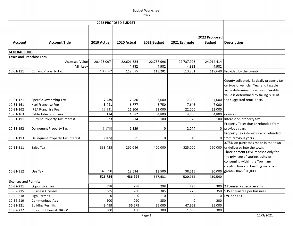|                                 |                                      |             | 2022 PROPOSED BUDGET |             |               |                                |                                                                                                                                                                                                      |
|---------------------------------|--------------------------------------|-------------|----------------------|-------------|---------------|--------------------------------|------------------------------------------------------------------------------------------------------------------------------------------------------------------------------------------------------|
|                                 |                                      |             |                      |             |               |                                |                                                                                                                                                                                                      |
| <b>Account</b>                  | <b>Account Title</b>                 | 2019 Actual | 2020 Actual          | 2021 Budget | 2021 Estimate | 2022 Proposed<br><b>Budget</b> | <b>Description</b>                                                                                                                                                                                   |
|                                 |                                      |             |                      |             |               |                                |                                                                                                                                                                                                      |
| <b>GENERAL FUND</b>             |                                      |             |                      |             |               |                                |                                                                                                                                                                                                      |
| <b>Taxes and Franchise Fees</b> |                                      |             |                      |             |               |                                |                                                                                                                                                                                                      |
|                                 | Assessed Value                       | 20,495,097  | 22,601,884           | 22,737,996  | 22,737,996    | 24,014,414                     |                                                                                                                                                                                                      |
|                                 | Mill Levy                            |             | 4.982                | 4.982       | 4.982         | 4.982                          |                                                                                                                                                                                                      |
| 10-31-111                       | <b>Current Property Tax</b>          | 100,682     | 112,575              | 113,281     | 113,281       |                                | 119,640 Provided by the county                                                                                                                                                                       |
| 10-31-121                       | Specific Ownership Tax               | 7,939       | 7,980                | 7,000       | 7,000         |                                | County collected. Basically property tax<br>on type of vehicle. Year and taxable<br>value determine these fees. Taxable<br>value is determined by taking 85% of<br>7,000 the suggested retail price. |
| 10-31-161                       | Xcel Franchise Fee                   | 8,441       | 6,777                | 6,750       | 7,646         | 7,000                          |                                                                                                                                                                                                      |
| $10-31-162$                     | <b>IREA Franchise Fee</b>            | 22,321      | 21,806               | 22,000      | 22,000        | 22,000                         |                                                                                                                                                                                                      |
| $\sqrt{10-31-163}$              | <b>Cable Television Fees</b>         | 5,114       | 4,882                | 4,800       | 4,800         | 4,800                          | Comcast                                                                                                                                                                                              |
| 10-31-191                       | <b>Current Property Tax Interest</b> | 73          | 214                  | 100         | 128           |                                | 100 Interest on property tax                                                                                                                                                                         |
| 10-31-192                       | Delinquent Property Tax              | (1, 170)    | 1,329                | 0           | 2,074         |                                | Property Taxes due or refunded from<br>0 previous years                                                                                                                                              |
| 10-31-193                       | Delinquent Property Tax Interest     | (165)       | 551                  | 0           | 510           |                                | Property Tax interest due or refunded<br>0 from previous years                                                                                                                                       |
| 10-31-311                       | Sales Tax                            | 338,428     | 262,046              | 400,000     | 325,000       |                                | 3.75% on purchases made in the town<br>250,000 or delivered into the town.                                                                                                                           |
|                                 |                                      |             |                      |             |               |                                | Three percent (3%) imposed only for<br>the privilege of storing, using or<br>consuming within the Town any<br>construction and building materials                                                    |
| 10-31-312                       | Use Tax                              | 45,090      | 18,634               | 13,500      | 38,515        |                                | 20,000 greater than \$20,000.                                                                                                                                                                        |
|                                 |                                      | 526,754     | 436,794              | 567,431     | 520,954       | 430,540                        |                                                                                                                                                                                                      |
| <b>Licenses and Permits</b>     |                                      |             |                      |             |               |                                |                                                                                                                                                                                                      |
| 10-32-211                       | Liquor Licenses                      | 398         | 298                  | 298         | 895           |                                | 300 2 licenses + special events                                                                                                                                                                      |
| 10-32-215                       | <b>Business Licenses</b>             | 385         | 280                  | 385         | 278           |                                | 350 \$35 annual fee per business                                                                                                                                                                     |
| $\sqrt{10-32-218}$              | Sign Permits                         | ∩           | $\Omega$             | $\mathbf 0$ | $\pmb{0}$     |                                | 0   FVC and OLOL                                                                                                                                                                                     |
| 10-32-219                       | Communique Ads                       | 500         | 290                  | 350         | $\mathbf{0}$  | 200                            |                                                                                                                                                                                                      |
| 10-32-221                       | <b>Building Permits</b>              | 49,499      | 36,679               | 25,000      | 47,952        | 35,000                         |                                                                                                                                                                                                      |
| 10-32-222                       | Street Cut Permits/ROW               | 300         | 450                  | 300         | 1,636         | 300                            |                                                                                                                                                                                                      |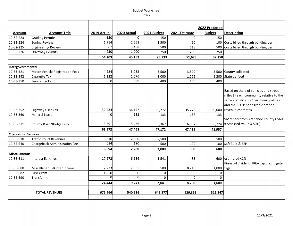Budget

| <b>Account</b>              | <b>Account Title</b>            | 2019 Actual | 2020 Actual  | 2021 Budget | 2021 Estimate | 2022 Proposed<br><b>Budget</b> | Description                              |
|-----------------------------|---------------------------------|-------------|--------------|-------------|---------------|--------------------------------|------------------------------------------|
| 10-32-223                   | <b>Grading Permits</b>          | 150         | <sub>0</sub> | 150         | 0             | 150                            |                                          |
| 10-32-224                   | Zoning Review                   | 1,914       | 2,668        | 1,500       | 50            | 100                            | Costs billed through building permit     |
| 10-32-225                   | <b>Engineering Review</b>       | 807         | 3,488        | 500         | 618           | 500                            | Costs billed through building permit     |
| 10-32-226                   | <b>Driveway Permits</b>         | 250         | 1,000        | 250         | 250           | 250                            |                                          |
|                             |                                 | 54,203      | 45,153       | 28,733      | 51,678        | 37,150                         |                                          |
|                             |                                 |             |              |             |               |                                |                                          |
| Intergovernmental           |                                 |             |              |             |               |                                |                                          |
| 10-33-321                   | Motor Vehicle Registration Fees | 4,224       | 3,782        | 3,500       | 3,500         | 3,500                          | County collected                         |
| 10-33-342                   | Cigarette Tax                   | 1,222       | 1,576        | 1,000       | 1,225         | 1,200                          | State derived                            |
| 10-33-350                   | Severance Tax                   | ∩           | 399          | 400         | 400           | 400                            |                                          |
|                             |                                 |             |              |             |               |                                | Based on the # of vehicles and street    |
|                             |                                 |             |              |             |               |                                | miles in each community relative to the  |
|                             |                                 |             |              |             |               |                                | same statistics in other municipalities  |
|                             |                                 |             |              |             |               |                                | and the CO Dept of Transporation         |
| 10-33-352                   | Highway User Tax                | 52,434      | 36,142       | 35,772      | 35,772        | 30,000                         | revenue estimates.                       |
| 10-33-360                   | Mineral Lease                   |             | 133          | 133         | 157           | 133                            |                                          |
|                             |                                 |             |              |             |               |                                | Shareback from Arapahoe County (.560     |
| 10-33-371                   | County Road/Bridge Levy         | 5,691       | 5,436        | 6,367       | 6,367         |                                | 6,724  x Assessed Value X 50%)           |
|                             |                                 | 63,572      | 47,468       | 47,172      | 47,421        | 41,957                         |                                          |
| <b>Charges for Services</b> |                                 |             |              |             |               |                                |                                          |
| 10-35-510                   | <b>Traffic Court Revenues</b>   | 6,310       | 2,090        | 2,500       | 500           | 500                            |                                          |
| 10-35-540                   | Chargeback Administration Fee   | 684         | 190          | 500         | 100           | 100                            | SafeBuilt & SEH                          |
|                             |                                 | 6,994       | 2,280        | 3,000       | 600           | 600                            |                                          |
| <b>Miscellaneous</b>        |                                 |             |              |             |               |                                |                                          |
| 10-36-611                   | <b>Interest Earnings</b>        | 17,972      | 6,686        | 1,541       | 485           | 600                            | estimated <1%                            |
|                             |                                 |             |              |             |               |                                | Pinnacol dividend, IREA cap credit, gate |
| 10-36-680                   | Miscellaneous/Other Income      | 2,223       | 2,555        | 500         | 8,215         | 1,000                          | tags                                     |
| 10-36-682                   | <b>SIPA Grant</b>               | 4,250       | 0l           | $\mathbf 0$ | 0             | 0                              |                                          |
| 10-36-690                   | Transfer In                     |             | $\Omega$     | $\mathbf 0$ | 0             | $\mathbf 0$                    |                                          |
|                             |                                 | 24,444      | 9,241        | 2,041       | 8,700         | 1,600                          |                                          |
|                             | <b>TOTAL REVENUES</b>           | 675,966     | 540,936      | 648,377     | 629,353       | 511,847                        |                                          |
|                             |                                 |             |              |             |               |                                |                                          |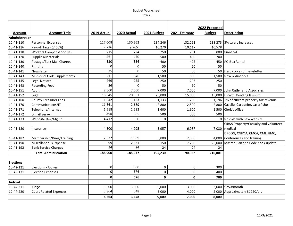|                  |                               |                 |             |              |               | 2022 Proposed |                                          |
|------------------|-------------------------------|-----------------|-------------|--------------|---------------|---------------|------------------------------------------|
| <b>Account</b>   | <b>Account Title</b>          | 2019 Actual     | 2020 Actual | 2021 Budget  | 2021 Estimate | <b>Budget</b> | <b>Description</b>                       |
| Administration   |                               |                 |             |              |               |               |                                          |
| 10-41-110        | Personnel Expenses            | 127,008         | 130,262     | 134,246      | 132,251       |               | 138,273 3% salary increases              |
| 10-41-116        | Payroll Taxes (7.65%)         | 9,716           | 9,965       | 10,270       | 10,117        | 10,578        |                                          |
| 10-41-118        | Workers Compensation Ins.     | 715             | 724         | 750          | 781           |               | 800 Pinnacol                             |
| 10-41-120        | Supplies/Materials            | 461             | 470         | 500          | 400           | 700           |                                          |
| 10-41-130        | Postage/Bulk Mail Charges     | 330             | 336         | 400          | 495           |               | 450 PO Box Rental                        |
| 10-41-140        | Printing                      | $\mathbf 0$     | Ω           | 50           | 50            | 50            |                                          |
| 10-41-141        | Newsletter                    | $\overline{35}$ | $\Omega$    | 50           | 50            |               | 50 Hard copies of newsletter             |
| 10-41-143        | Municipal Code Supplements    | 211             | 646         | 1,500        | 500           |               | 1,500 New ordinances                     |
| 10-41-145        | <b>Legal Notices</b>          | 266             | 255         | 250          | 296           | 250           |                                          |
| 10-41-148        | <b>Recording Fees</b>         | 26              | $\Omega$    | 50           | 50            | 50            |                                          |
| 10-41-151        | Audit                         | 7,000           | 7,000       | 7,000        | 7,000         | 7,000         | John Cutler and Associates               |
| 10-41-152        | Legal                         | 16,345          | 20,651      | 25,000       | 15,000        |               | 15,000 HPWC. Pending lawsuit.            |
| 10-41-160        | <b>County Treasurer Fees</b>  | 1,042           | 1,153       | 1,133        | 1,200         |               | 1,196 1% of current property tax revenue |
| 10-41-170        | Communications/IT             | 11,861          | 2,689       | 2,800        | 2,500         |               | 2,800 Caselle, Carbonite, Laserfiche     |
| 10-41-171        | Telephone/Internet            | 1,518           | 1,582       | 1,600        | 1,600         |               | 1,500 Clerk's office                     |
| 10-41-172        | E-mail Server                 | 498             | 505         | 500          | 500           | 500           |                                          |
| 10-41-173        | Web Site Dev/Mgmt             | 4,412           |             | $\Omega$     | $\Omega$      |               | 0 No cost with new website               |
|                  |                               |                 |             |              |               |               | CIRSA Property/Casualty and volunteer    |
| 10-41-180        | Insurance                     | 4,500           | 4,995       | 5,957        | 6,987         |               | 7,080 medical                            |
|                  |                               |                 |             |              |               |               | DRCOG, CGFOA, CMCA, CML, IIMC,           |
| 10-41-182        | Membership/Dues/Training      | 2,832           | 1,889       | 3,000        | 2,500         |               | 4,000 Conferences and training           |
| 10-41-190        | Miscellaneous Expense         | 99              | 2,831       | 150          | 7,730         |               | 25,000 Master Plan and Code book update  |
| 10-41-192        | <b>Bank Service Charges</b>   | $\overline{24}$ | 24          | 24           | 24            | 24            |                                          |
|                  | <b>Total Administration</b>   | 188,900         | 185,977     | 195,230      | 190,032       | 216,801       |                                          |
|                  |                               |                 |             |              |               |               |                                          |
| <b>Elections</b> |                               |                 |             |              |               |               |                                          |
| 10-42-121        | Elections - Judges            | $\mathbf 0$     | 300         | 0            | $\mathbf 0$   | 300           |                                          |
| 10-42-131        | <b>Election Expenses</b>      | $\mathbf 0$     | 376         | 0            | 0             | 400           |                                          |
|                  |                               | $\mathbf{0}$    | 676         | $\mathbf{0}$ | $\mathbf{0}$  | 700           |                                          |
| Judicial         |                               |                 |             |              |               |               |                                          |
| 10-44-211        | Judge                         | 3,000           | 3,000       | 3,000        | 3,000         |               | 3,000 \$250/month                        |
| 10-44-220        | <b>Court Related Expenses</b> | 5,864           | 648         | 6,000        | 4,000         |               | 5,000 Approximately \$1250/qrt           |
|                  |                               | 8.864           | 3,648       | 9,000        | 7,000         | 8.000         |                                          |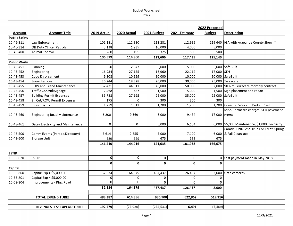|                                        | <b>Account Title</b>                     | 2019 Actual |             |              | 2021 Estimate | 2022 Proposed | <b>Description</b>                             |
|----------------------------------------|------------------------------------------|-------------|-------------|--------------|---------------|---------------|------------------------------------------------|
| <b>Account</b><br><b>Public Safety</b> |                                          |             | 2020 Actual | 2021 Budget  |               | <b>Budget</b> |                                                |
| 10-46-311                              | Law Enforcement                          | 101,181     | 112,830     | 113,281      | 112,935       |               | 119,640   IGA with Arapahoe County Sherriff    |
| 10-46-314                              | Off Duty Officer Patrols                 | 5,138       | 1,935       | 10,000       | 4,000         | 5,000         |                                                |
| 10-46-400                              | Animal Control                           | 260         | 195         | 325          | 500           | 500           |                                                |
|                                        |                                          | 106,579     | 114,960     | 123,606      | 117,435       | 125,140       |                                                |
| Public Works                           |                                          |             |             |              |               |               |                                                |
| 10-48-451                              | Planning                                 | 3,850       | 2,547       | 5,000        | 5,000         |               | 5,000 SafeBuilt                                |
| 10-48-452                              | Engineering                              | 16,934      | 27,155      | 16,960       | 22,112        | 17,000 SEH    |                                                |
| 10-48-453                              | Code Enforcement                         | 9,308       | 10,129      | 10,000       | 10,000        |               | 10,000 SafeBuilt                               |
| 10-48-454                              | Snow Removal                             | 26,244      | 18,328      | 20,000       | 30,000        |               | 25,000 Terracare                               |
| 10-48-455                              | ROW and Island Maintenance               | 37,421      | 44,811      | 45,000       | 50,000        |               | 52,000 90% of Terracare monthly contract       |
| 10-48-456                              | <b>Traffic Control/Signage</b>           | 2,468       | 687         | 1,500        | 5,000         |               | 1,500 Sign placement and repair                |
| 10-48-457                              | Building Permit Expenses                 | 35,788      | 27,195      | 25,000       | 35,000        |               | 25,000 SafeBuilt                               |
| 10-48-458                              | St. Cut/ROW Permit Expenses              | 175         |             | 300          | 300           | 300           |                                                |
| 10-48-459                              | <b>Street Lights</b>                     | 1,279       | 1,311       | 1,200        | 1,200         |               | 1,200 Lewiston Way and Parker Road             |
|                                        |                                          |             |             |              |               |               | Misc. Terracare charges, SEH pavement          |
| 10-48-460                              | <b>Engineering Road Maintenance</b>      | 6,800       | 9,369       | 6,000        | 9,454         | 17,000 mgmt   |                                                |
|                                        |                                          |             |             |              |               |               |                                                |
| 10-48-461                              | <b>Gates Electricity and Maintenance</b> | 0           | 0           | 5,000        | 6,184         |               | 6,000 \$5,000 Maintenance, \$1,000 Electricity |
|                                        |                                          |             |             |              |               |               | Parade, Chili Fest, Trunk or Treat, Spring     |
| 10-48-500                              | Comm Events (Parade, Directory)          | 5.614       | 2,855       | 5,000        | 7,100         |               | 6,000 & Fall Clean-ups                         |
| 10-48-600                              | <b>Storage Unit</b>                      | 529         | 529         | 675          | 588           | 675           |                                                |
|                                        |                                          | 146,410     | 144,916     | 141,635      | 181,938       | 166,675       |                                                |
|                                        |                                          |             |             |              |               |               |                                                |
| <b>ESTIP</b><br>$10 - 52 - 620$        | <b>ESTIP</b>                             | $\Omega$    | $\Omega$    | $\mathbf 0$  | $\mathbf 0$   |               |                                                |
|                                        |                                          |             |             |              |               |               | 0 Last payment made in May 2018                |
|                                        |                                          | $\mathbf 0$ | 0           | $\mathbf{0}$ | $\mathbf 0$   | $\mathbf 0$   |                                                |
| Capital<br>10-58-800                   | Capital Exp > \$5,000.00                 | 32,634      | 164,679     | 467,437      | 126,457       |               |                                                |
| 10-58-801                              | Capital Exp < \$5,000.00                 | $\Omega$    | $\Omega$    | $\Omega$     | 0             | $\mathbf 0$   | 2,000 Gate cameras                             |
| 10-58-804                              | Improvements - Ring Road                 | 0           | $\Omega$    | $\Omega$     | $\Omega$      | $\mathbf 0$   |                                                |
|                                        |                                          | 32,634      | 164,679     | 467,437      | 126,457       | 2,000         |                                                |
|                                        |                                          |             |             |              |               |               |                                                |
|                                        | <b>TOTAL EXPENDITURES</b>                | 483,387     | 614,856     | 936,908      | 622,862       | 519,316       |                                                |
|                                        | REVENUES LESS EXPENDITURES               | 192,579     | (73,920)    | (288, 531)   | 6,491         | (7, 469)      |                                                |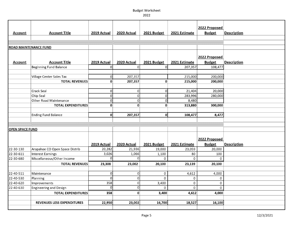| <b>Account</b>         | <b>Account Title</b>              | 2019 Actual  | 2020 Actual    | 2021 Budget  | 2021 Estimate | 2022 Proposed<br><b>Budget</b> | <b>Description</b> |
|------------------------|-----------------------------------|--------------|----------------|--------------|---------------|--------------------------------|--------------------|
|                        |                                   |              |                |              |               |                                |                    |
|                        | <b>ROAD MAINTENANCE FUND</b>      |              |                |              |               |                                |                    |
| <b>Account</b>         | <b>Account Title</b>              | 2019 Actual  | 2020 Actual    | 2021 Budget  | 2021 Estimate | 2022 Proposed<br><b>Budget</b> | <b>Description</b> |
|                        | Beginning Fund Balance            | ΩI           | 0l             | $\Omega$     | 207,357       | 108,477                        |                    |
|                        |                                   |              |                |              |               |                                |                    |
|                        | Village Center Sales Tax          | οl           | 207,357        |              | 215,000       | 200,000                        |                    |
|                        | <b>TOTAL REVENUES</b>             | $\mathbf{0}$ | 207,357        | $\mathbf{0}$ | 215,000       | 200,000                        |                    |
|                        |                                   |              |                |              |               |                                |                    |
|                        | Crack Seal                        | 0            | 0              | 0            | 21,404        | 20,000                         |                    |
|                        | Chip Seal                         | $\Omega$     | 0              | O            | 283,996       | 280,000                        |                    |
|                        | <b>Other Road Maintenance</b>     | 0            | 0              | $\Omega$     | 8,480         |                                |                    |
|                        | <b>TOTAL EXPENDITURES</b>         | $\mathbf 0$  | 0              | $\mathbf{0}$ | 313,880       | 300,000                        |                    |
|                        |                                   |              |                |              |               |                                |                    |
|                        | <b>Ending Fund Balance</b>        | $\mathbf{0}$ | 207,357        | 0            | 108,477       | 8,477                          |                    |
|                        |                                   |              |                |              |               |                                |                    |
|                        |                                   |              |                |              |               |                                |                    |
| <b>OPEN SPACE FUND</b> |                                   |              |                |              |               |                                |                    |
|                        |                                   | 2019 Actual  | 2020 Actual    | 2021 Budget  | 2021 Estimate | 2022 Proposed<br><b>Budget</b> | <b>Description</b> |
| 22-30-130              | Arapahoe CO Open Space Distrib    | 20,282       | 21,936         | 19,000       | 23,059        | 20,000                         |                    |
| 22-30-611              | <b>Interest Earnings</b>          | 3,026        | 1,066          | 1,100        | 80            | 100                            |                    |
| 22-30-680              | Miscellaneous/Other Income        | $\Omega$     | 0              | $\Omega$     | $\Omega$      | $\Omega$                       |                    |
|                        | <b>TOTAL REVENUES</b>             | 23,308       | 23,002         | 20,100       | 23,139        | 20,100                         |                    |
|                        |                                   |              |                |              |               |                                |                    |
| 22-40-511              | Maintenance                       | $\Omega$     | $\overline{0}$ | $\mathbf 0$  | 4,612         | 4,000                          |                    |
| 22-40-530              | Planning                          | $\Omega$     | $\circ$        | $\mathbf 0$  | $\mathbf 0$   | $\Omega$                       |                    |
| 22-40-620              | Improvements                      | 358          | $\circ$        | 3,400        | $\mathbf 0$   | 0                              |                    |
| 22-40-630              | <b>Engineering and Design</b>     | ΩI           | 0              | $\Omega$     | $\pmb{0}$     | $\mathbf 0$                    |                    |
|                        | <b>TOTAL EXPENDITURES</b>         | 358          | 0              | 3,400        | 4,612         | 4,000                          |                    |
|                        |                                   |              |                |              |               |                                |                    |
|                        | <b>REVENUES LESS EXPENDITURES</b> | 22,950       | 23,002         | 16,700       | 18,527        | 16,100                         |                    |
|                        |                                   |              |                |              |               |                                |                    |
|                        |                                   |              |                |              |               |                                |                    |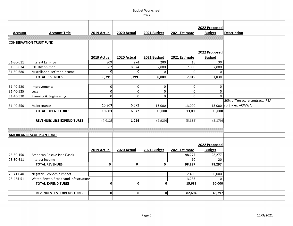# 2022

|           |                                       |                          |              |              |               | 2022 Proposed    |                                 |
|-----------|---------------------------------------|--------------------------|--------------|--------------|---------------|------------------|---------------------------------|
| Account   | <b>Account Title</b>                  | 2019 Actual              | 2020 Actual  | 2021 Budget  | 2021 Estimate | <b>Budget</b>    | <b>Description</b>              |
|           |                                       |                          |              |              |               |                  |                                 |
|           | <b>CONSERVATION TRUST FUND</b>        |                          |              |              |               |                  |                                 |
|           |                                       |                          |              |              |               |                  |                                 |
|           |                                       |                          |              |              |               | 2022 Proposed    |                                 |
|           |                                       | 2019 Actual              | 2020 Actual  | 2021 Budget  | 2021 Estimate | <b>Budget</b>    |                                 |
| 31-30-611 | <b>Interest Earnings</b>              | 809                      | 274          | 280          | 15            | 30               |                                 |
| 31-30-634 | <b>CTF Distribution</b>               | 5,982                    | 8,024        | 7,800        | 7,800         | 7,800            |                                 |
| 31-30-680 | Miscellaneous/Other Income            | Ωl                       | οl           | $\Omega$     | $\mathbf 0$   | $\Omega$         |                                 |
|           | <b>TOTAL REVENUES</b>                 | 6,791                    | 8,299        | 8,080        | 7,815         | 7,830            |                                 |
|           |                                       |                          |              |              |               |                  |                                 |
| 31-40-520 | Improvements                          | 0                        | O            | 0            | 0             | 0                |                                 |
| 31-40-525 | Legal                                 | $\Omega$<br>$\mathsf{o}$ | $\Omega$     | $\mathbf 0$  | $\pmb{0}$     | $\mathbf 0$<br>0 |                                 |
| 31-40-530 | Planning & Engineering                |                          | $\Omega$     | 0            | $\mathbf 0$   |                  | 20% of Terracare contract, IREA |
| 31-40-550 |                                       | 10,803                   | 6,572        |              |               |                  | 13,000 sprinkler, ACWWA         |
|           | Maintenance                           |                          |              | 13,000       | 13,000        |                  |                                 |
|           | <b>TOTAL EXPENDITURES</b>             | 10,803                   | 6,572        | 13,000       | 13,000        | 13,000           |                                 |
|           | <b>REVENUES LESS EXPENDITURES</b>     | (4,012)                  | 1,726        | (4,920)      | (5, 185)      | (5, 170)         |                                 |
|           |                                       |                          |              |              |               |                  |                                 |
|           |                                       |                          |              |              |               |                  |                                 |
|           | <b>AMERICAN RESCUE PLAN FUND</b>      |                          |              |              |               |                  |                                 |
|           |                                       |                          |              |              |               |                  |                                 |
|           |                                       |                          |              |              |               | 2022 Proposed    |                                 |
|           |                                       | 2019 Actual              | 2020 Actual  | 2021 Budget  | 2021 Estimate | <b>Budget</b>    |                                 |
| 23-30-150 | American Rescue Plan Funds            |                          |              |              | 98,277        | 98,277           |                                 |
| 23-30-611 | Interest Income                       |                          |              |              | 10            | 20               |                                 |
|           | <b>TOTAL REVENUES</b>                 | $\Omega$                 | 0            | $\bf{0}$     | 98,287        | 98,297           |                                 |
| 23-411-40 | Negative Economic Impact              |                          |              |              | 2,430         | 50,000           |                                 |
| 23-484-51 | Water, Sewer, Broadband Infastructure |                          |              |              | 13,253        | $\Omega$         |                                 |
|           | <b>TOTAL EXPENDITURES</b>             | $\mathbf{0}$             | $\mathbf{0}$ | $\mathbf{0}$ | 15,683        | 50,000           |                                 |
|           |                                       |                          |              |              |               |                  |                                 |
|           | REVENUES LESS EXPENDITURES            | οl                       | $\mathbf{0}$ | 0l           | 82,604        | 48,297           |                                 |
|           |                                       |                          |              |              |               |                  |                                 |
|           |                                       |                          |              |              |               |                  |                                 |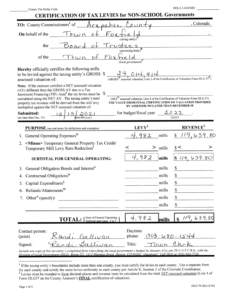| County Tax Entity Code |  |  |  |
|------------------------|--|--|--|
|------------------------|--|--|--|

DOLA LGID/SID

| <b>CERTIFICATION OF TAX LEVIES for NON-SCHOOL Governments</b>                                                                                                                                                                                                                                                                                                         |                                                                                                                                                                                                           |                      |
|-----------------------------------------------------------------------------------------------------------------------------------------------------------------------------------------------------------------------------------------------------------------------------------------------------------------------------------------------------------------------|-----------------------------------------------------------------------------------------------------------------------------------------------------------------------------------------------------------|----------------------|
| <b>TO:</b> County Commissioners <sup>1</sup> of<br>Arapahoe                                                                                                                                                                                                                                                                                                           |                                                                                                                                                                                                           | , Colorado.          |
| $F_{\rm O}$ $\mathsf{r}$<br>Town<br><b>On</b> behalf of the<br>$\mathfrak{o}$ -                                                                                                                                                                                                                                                                                       |                                                                                                                                                                                                           |                      |
|                                                                                                                                                                                                                                                                                                                                                                       | (taxing entity)                                                                                                                                                                                           |                      |
| the<br><u>Board</u>                                                                                                                                                                                                                                                                                                                                                   | rustees<br>(governing body)                                                                                                                                                                               |                      |
| $\circ f$<br>$F$ OX:<br>TOWN<br>of the                                                                                                                                                                                                                                                                                                                                | (local government)                                                                                                                                                                                        |                      |
| Hereby officially certifies the following mills<br>to be levied against the taxing entity's GROSS \$<br>assessed valuation of:                                                                                                                                                                                                                                        | assessed valuation, Line 2 of the Certification of Valuation Form DLG $57^E$ )                                                                                                                            |                      |
| <b>Note:</b> If the assessor certified a NET assessed valuation<br>(AV) different than the GROSS AV due to a Tax<br>Increment Financing (TIF) Area <sup>F</sup> the tax levies must be $\$$<br>calculated using the NET AV. The taxing entity's total<br>property tax revenue will be derived from the mill levy<br>multiplied against the NET assessed valuation of: | $\overline{\text{(NET}}^G$ assessed valuation, Line 4 of the Certification of Valuation Form DLG 57)<br>USE VALUE FROM FINAL CERTIFICATION OF VALUATION PROVIDED<br>BY ASSESSOR NO LATER THAN DECEMBER 10 |                      |
| Submitted:<br>$\mathcal{Q} \mathcal{O} \mathcal{Q}$<br>$\overline{\text{mm}/\text{dd}/\text{yyy}}$<br>(no later than Dec. 15)                                                                                                                                                                                                                                         | for budget/fiscal year                                                                                                                                                                                    | 2022                 |
| <b>PURPOSE</b> (see end notes for definitions and examples)                                                                                                                                                                                                                                                                                                           | $LEVY^2$                                                                                                                                                                                                  | REVENUE <sup>2</sup> |
| General Operating Expenses <sup>H</sup>                                                                                                                                                                                                                                                                                                                               | ,982<br>mills                                                                                                                                                                                             | \$119,639.           |
| <minus> Temporary General Property Tax Credit/<br/>2.<br/>Temporary Mill Levy Rate Reduction<sup>1</sup></minus>                                                                                                                                                                                                                                                      | $>$ mills                                                                                                                                                                                                 |                      |
| <b>SUBTOTAL FOR GENERAL OPERATING:</b>                                                                                                                                                                                                                                                                                                                                | 4,982<br>mills                                                                                                                                                                                            | 639.80<br>S1/9.      |
| General Obligation Bonds and Interest <sup>J</sup>                                                                                                                                                                                                                                                                                                                    | mills                                                                                                                                                                                                     | \$                   |
| 4. Contractual Obligations <sup>K</sup>                                                                                                                                                                                                                                                                                                                               | mills                                                                                                                                                                                                     | \$                   |
| Capital Expenditures <sup>L</sup><br>5.                                                                                                                                                                                                                                                                                                                               | mills                                                                                                                                                                                                     | \$                   |
| $Refunds/Abatements^M$<br>6.                                                                                                                                                                                                                                                                                                                                          | mills                                                                                                                                                                                                     | \$                   |
| Other <sup>N</sup> (specify):<br>7.                                                                                                                                                                                                                                                                                                                                   | mills                                                                                                                                                                                                     | \$                   |
|                                                                                                                                                                                                                                                                                                                                                                       | mills                                                                                                                                                                                                     | \$                   |
| Sum of General Operating<br><b>TOTAL:</b><br>Subtotal and Lines 3 to 7                                                                                                                                                                                                                                                                                                | 4,982<br>mills                                                                                                                                                                                            | 119,639,80<br>\$     |
| Contact person:<br>$\zeta$ and, Gallivan<br>(print)                                                                                                                                                                                                                                                                                                                   | Daytime<br>303<br>phone:                                                                                                                                                                                  | $680 - 1544$         |
| Signed:                                                                                                                                                                                                                                                                                                                                                               | Title:<br>OWN                                                                                                                                                                                             | $Q_{ex}$             |
| Include one copy of this tax entity's completed form when filing the local government's budget by January 31st, per 29-1-113 C.R.S., with the<br>Division of Local Government (DLG), Room 521, 1313 Sherman Street, Denver, CO 80203, Questions? Call DLG at (303) 864-7720,                                                                                          |                                                                                                                                                                                                           |                      |

<sup>&</sup>lt;sup>1</sup> If the *taxing entity's* boundaries include more than one county, you must certify the levies to each county. Use a separate form for each county and certify the same levies uniformly to each county per Article X, Sec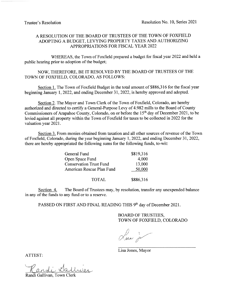# A RESOLUTION OF THE BOARD OF TRUSTEES OF THE TOWN OF FOXFIELD ADOPTING A BUDGET, LEVYING PROPERTY TAXES AND AUTHORIZING APPROPRIATIONS FOR FISCAL YEAR 2022

WHEREAS, the Town of Foxfield prepared a budget for fiscal year 2022 and held a public hearing prior to adoption of the budget;

NOW, THEREFORE, BE IT RESOLVED BY THE BOARD OF TRUSTEES OF THE TOWN OF FOXFIELD, COLORADO, AS FOLLOWS:

Section 1. The Town of Foxfield Budget in the total amount of \$886,316 for the fiscal year beginning January 1, 2022, and ending December 31, 2022, is hereby approved and adopted.

Section 2. The Mayor and Town Clerk of the Town of Foxfield, Colorado, are hereby authorized and directed to certify a General-Purpose Levy of 4.982 mills to the Board of County Commissioners of Arapahoe County, Colorado, on or before the 15<sup>th</sup> day of December 2021, to be levied against all property within the Town of Foxfield for taxes to be collected in 2022 for the valuation year 2021.

Section 3. From monies obtained from taxation and all other sources of revenue of the Town of Foxfield, Colorado, during the year beginning January 1, 2022, and ending December 31, 2022, there are hereby appropriated the following sums for the following funds, to-wit:

| General Fund                   | \$819,316 |
|--------------------------------|-----------|
| Open Space Fund                | 4,000     |
| <b>Conservation Trust Fund</b> | 13,000    |
| American Rescue Plan Fund      | 50,000    |
|                                |           |
|                                |           |

**TOTAL** \$886.316

The Board of Trustees may, by resolution, transfer any unexpended balance Section 4. in any of the funds to any fund or to a reserve.

PASSED ON FIRST AND FINAL READING THIS 9th day of December 2021.

**BOARD OF TRUSTEES,** TOWN OF FOXFIELD, COLORADO

There is

Lisa Jones, Mayor

ATTEST:

Randi Gallivan, Town Cler